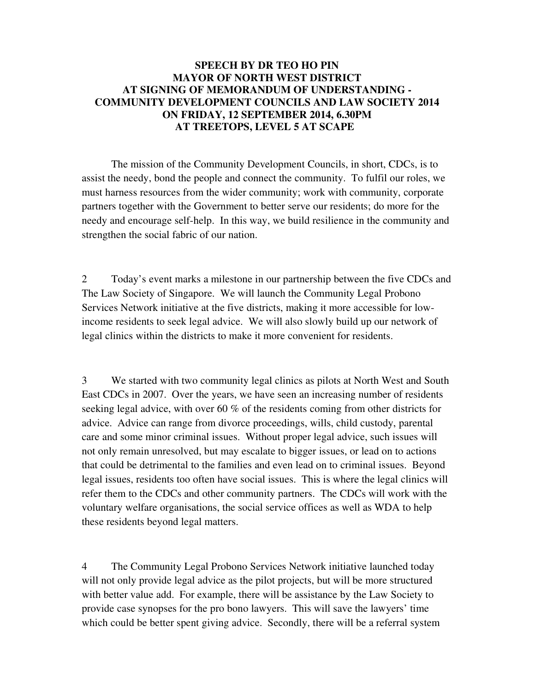## **SPEECH BY DR TEO HO PIN MAYOR OF NORTH WEST DISTRICT AT SIGNING OF MEMORANDUM OF UNDERSTANDING - COMMUNITY DEVELOPMENT COUNCILS AND LAW SOCIETY 2014 ON FRIDAY, 12 SEPTEMBER 2014, 6.30PM AT TREETOPS, LEVEL 5 AT SCAPE**

The mission of the Community Development Councils, in short, CDCs, is to assist the needy, bond the people and connect the community. To fulfil our roles, we must harness resources from the wider community; work with community, corporate partners together with the Government to better serve our residents; do more for the needy and encourage self-help. In this way, we build resilience in the community and strengthen the social fabric of our nation.

2 Today's event marks a milestone in our partnership between the five CDCs and The Law Society of Singapore. We will launch the Community Legal Probono Services Network initiative at the five districts, making it more accessible for lowincome residents to seek legal advice. We will also slowly build up our network of legal clinics within the districts to make it more convenient for residents.

3 We started with two community legal clinics as pilots at North West and South East CDCs in 2007. Over the years, we have seen an increasing number of residents seeking legal advice, with over 60 % of the residents coming from other districts for advice. Advice can range from divorce proceedings, wills, child custody, parental care and some minor criminal issues. Without proper legal advice, such issues will not only remain unresolved, but may escalate to bigger issues, or lead on to actions that could be detrimental to the families and even lead on to criminal issues. Beyond legal issues, residents too often have social issues. This is where the legal clinics will refer them to the CDCs and other community partners. The CDCs will work with the voluntary welfare organisations, the social service offices as well as WDA to help these residents beyond legal matters.

4 The Community Legal Probono Services Network initiative launched today will not only provide legal advice as the pilot projects, but will be more structured with better value add. For example, there will be assistance by the Law Society to provide case synopses for the pro bono lawyers. This will save the lawyers' time which could be better spent giving advice. Secondly, there will be a referral system